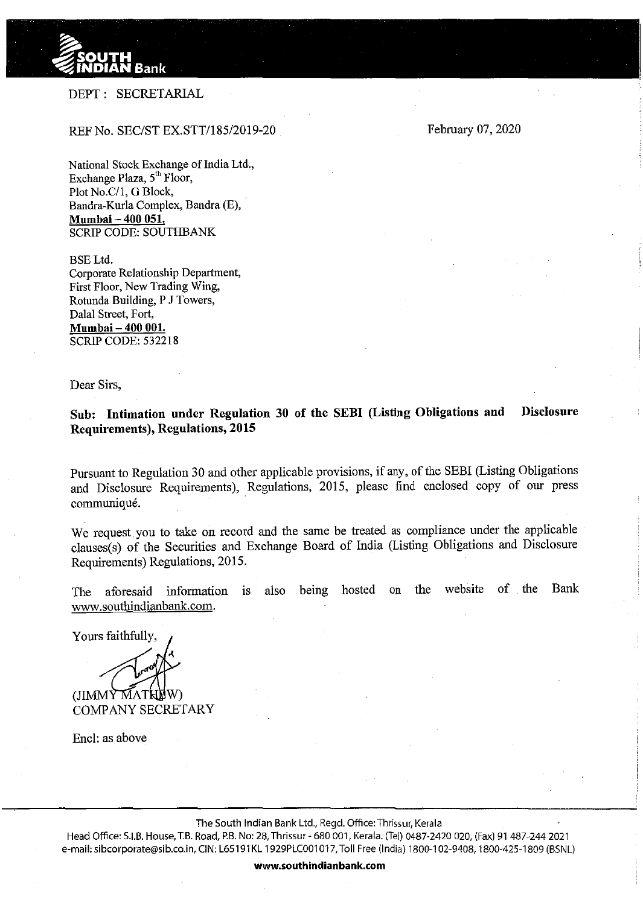

## DEPT: SECRETARIAL

## REF No. SEC/ST EX.STT/185/2019-20

February 07, 2020

National Stock Exchange of India Ltd., Exchange Plaza, 5'h Floor, Plot No.C/1, G Block, Bandra-Kurla Complex, Bandra (E), **Mumbai- 400 051.**  SCRIP CODE: SOUTHBANK

BSELtd. Corporate Relationship Department, First Floor, New Trading Wing, Rotunda Building, P **J** Towers, Dalal Street, Fort, **Mumbai- 400 001.**  SCRIP CODE: 532218

Dear Sirs,

**Sub: Intimation under Regulation 30 of the SEBI (Listing Obligations and Disclosure Requirements), Regulations, 2015** 

Pursuant to Regulation 30 and other applicable provisions, if any, of the SEBI (Listing Obligations and Disclosure Requirements), Regulations, 2015, please find enclosed copy of our press communique.

We request you to take on record and the same be treated as compliance under the applicable clauses(s) of the Securities and Exchange Board of India (Listing Obligations and Disclosure Requirements) Regulations, 2015.

The aforesaid information is also being hosted on the website of the Bank www.southindianbank.com.

Yours faithfully, (JIMMY MATHEW) COMPANY SECRETARY

Encl: as above

The South Indian Bank Ltd., Regd. Office: Thrissur, Kerala

Head Office: S.I.B. House, T.B. Road, P.B. No: 28, Thrissur- 680 001, Kerala. (Tel) 0487-2420 020, (Fax) 91 487-244 2021 e-mail: sibcorporate@sib.co.in, CIN: L65191KL 1929PLC001017, Toll Free (India) 1800-102-9408, 1800-425-1809 (BSNL)